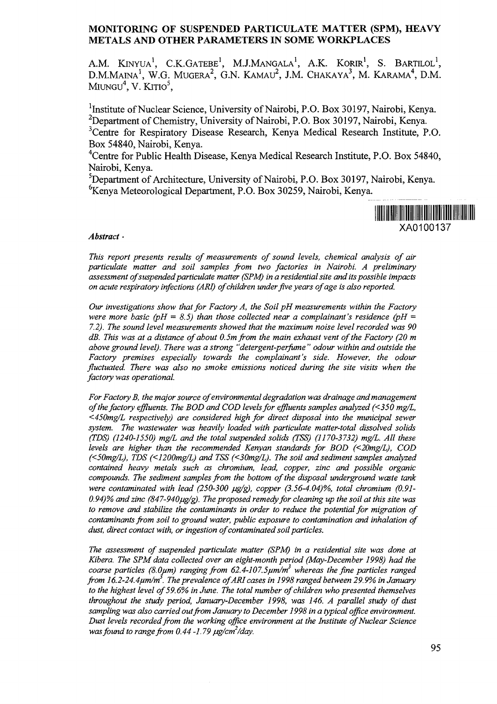#### **MONITORING OF SUSPENDED PARTICULATE MATTER (SPM), HEAVY METALS AND OTHER PARAMETERS IN SOME WORKPLACES**

A.M. Kinyua<sup>i</sup>, C.K.Gatebe', M.J.Mangala', A.K. Korir', S. Bartilol<sup>i</sup>, D.M.Maina', W.G. Mugera<sup>2</sup>, G.N. Kamau<sup>2</sup>, J.M. Chakaya', M. Karama'', D.M. Miungu<sup>4</sup>, V. Kitio<sup>3</sup>,

<sup>1</sup>Institute of Nuclear Science, University of Nairobi, P.O. Box 30197, Nairobi, Kenya. <sup>2</sup>Department of Chemistry, University of Nairobi, P.O. Box 30197, Nairobi, Kenya. <sup>3</sup>Centre for Respiratory Disease Research, Kenya Medical Research Institute, P.O. Box 54840, Nairobi, Kenya.

<sup>4</sup>Centre for Public Health Disease, Kenya Medical Research Institute, P.O. Box 54840, Nairobi, Kenya.

<sup>5</sup>Department of Architecture, University of Nairobi, P.O. Box 30197, Nairobi, Kenya. <sup>6</sup>Kenya Meteorological Department, P.O. Box 30259, Nairobi, Kenya.



#### *Abstract •*

*This report presents results of measurements of sound levels, chemical analysis of air particulate matter and soil samples from two factories in Nairobi. A preliminary assessment of suspended particulate matter (SPM) in a residential site and its possible impacts on acute respiratory infections (ARI) of children under five years of age is also reported.*

*Our investigations show that for Factory A, the Soil pH measurements within the Factory were more basic (pH = 8.5) than those collected near a complainant's residence (pH =*  $\mu$ *7.2). The sound level measurements showed that the maximum noise level recorded was 90 dB. This was at a distance of about 0.5m from the main exhaust vent of the Factory (20 m above ground level). There was a strong "detergent-perfume " odour within and outside the Factory premises especially towards the complainant's side. However, the odour fluctuated. There was also no smoke emissions noticed during the site visits when the factory was operational.*

*For Factory B, the major source of environmental degradation was drainage and management of the factory effluents. The BOD and COD levels for effluents samples analyzed (<350 mg/L, <450mg/L respectively) are considered high for direct disposal into the municipal sewer system. The wastewater was heavily loaded with particulate matter-total dissolved solids (TDS) (1240-1550) mg/L and the total suspended solids (TSS) (1170-3732) mg/L. All these levels are higher than the recommended Kenyan standards for BOD (<20mg/L), COD (<50mg/L), TDS (<1200mg/L) and TSS (<30mg/L). The soil and sediment samples analyzed contained heavy metals such as chromium, lead, copper, zinc and possible organic compounds. The sediment samples from the bottom of the disposal underground waste tank were contaminated with lead (250-300 jug/g), copper (3.56-4.04)%, total chromium (0.91-* 0.94)% and zinc (847-940 $\mu$ g/g). The proposed remedy for cleaning up the soil at this site was *to remove and stabilize the contaminants in order to reduce the potential for migration of contaminants from soil to ground water, public exposure to contamination and inhalation of dust, direct contact with, or ingestion of contaminated soil particles.*

*The assessment of suspended particulate matter (SPM) in a residential site was done at Kibera. The SPM data collected over an eight-month period (May-December 1998) had the coarse particles (8.0urn) ranging from 62.4-107.5fim/m<sup>3</sup> whereas the fine particles ranged from 16.2-24.4/um/m . The prevalence of ARI cases in 1998 ranged between 29.9% in January to the highest level of 59.6% in June. The total number of children who presented themselves throughout the study period, January-December 1998, was 146. A parallel study of dust sampling was also carried out from January to December 1998 in a typical office environment. Dust levels recorded from the working office environment at the Institute of Nuclear Science* was found to range from 0.44 -1.79  $\mu$ g/cm<sup>2</sup>/day.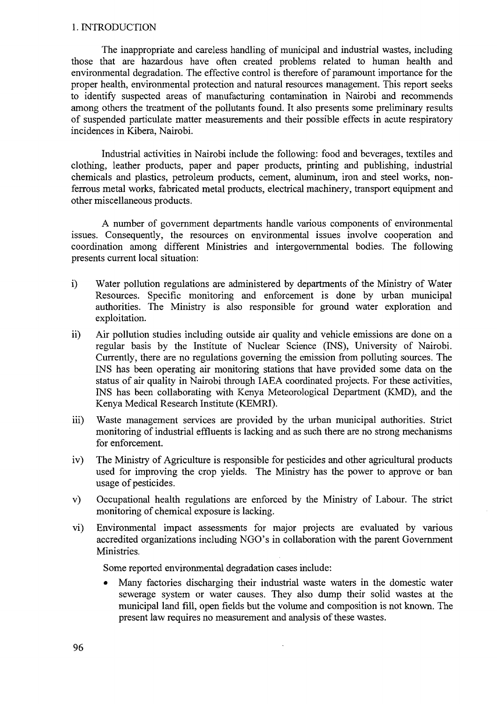### 1. INTRODUCTION

The inappropriate and careless handling of municipal and industrial wastes, including those that are hazardous have often created problems related to human health and environmental degradation. The effective control is therefore of paramount importance for the proper health, environmental protection and natural resources management. This report seeks to identify suspected areas of manufacturing contamination in Nairobi and recommends among others the treatment of the pollutants found. It also presents some preliminary results of suspended particulate matter measurements and their possible effects in acute respiratory incidences in Kibera, Nairobi.

Industrial activities in Nairobi include the following: food and beverages, textiles and clothing, leather products, paper and paper products, printing and publishing, industrial chemicals and plastics, petroleum products, cement, aluminum, iron and steel works, nonferrous metal works, fabricated metal products, electrical machinery, transport equipment and other miscellaneous products.

A number of government departments handle various components of environmental issues. Consequently, the resources on environmental issues involve cooperation and coordination among different Ministries and intergovernmental bodies. The following presents current local situation:

- i) Water pollution regulations are administered by departments of the Ministry of Water Resources. Specific monitoring and enforcement is done by urban municipal authorities. The Ministry is also responsible for ground water exploration and exploitation.
- ii) Air pollution studies including outside air quality and vehicle emissions are done on a regular basis by the Institute of Nuclear Science (INS), University of Nairobi. Currently, there are no regulations governing the emission from polluting sources. The INS has been operating air monitoring stations that have provided some data on the status of air quality in Nairobi through IAEA coordinated projects. For these activities, INS has been collaborating with Kenya Meteorological Department (KMD), and the Kenya Medical Research Institute (KEMRI).
- iii) Waste management services are provided by the urban municipal authorities. Strict monitoring of industrial effluents is lacking and as such there are no strong mechanisms for enforcement.
- iv) The Ministry of Agriculture is responsible for pesticides and other agricultural products used for improving the crop yields. The Ministry has the power to approve or ban usage of pesticides.
- v) Occupational health regulations are enforced by the Ministry of Labour. The strict monitoring of chemical exposure is lacking.
- vi) Environmental impact assessments for major projects are evaluated by various accredited organizations including NGO's in collaboration with the parent Government Ministries.

Some reported environmental degradation cases include:

Many factories discharging their industrial waste waters in the domestic water sewerage system or water causes. They also dump their solid wastes at the municipal land fill, open fields but the volume and composition is not known. The present law requires no measurement and analysis of these wastes.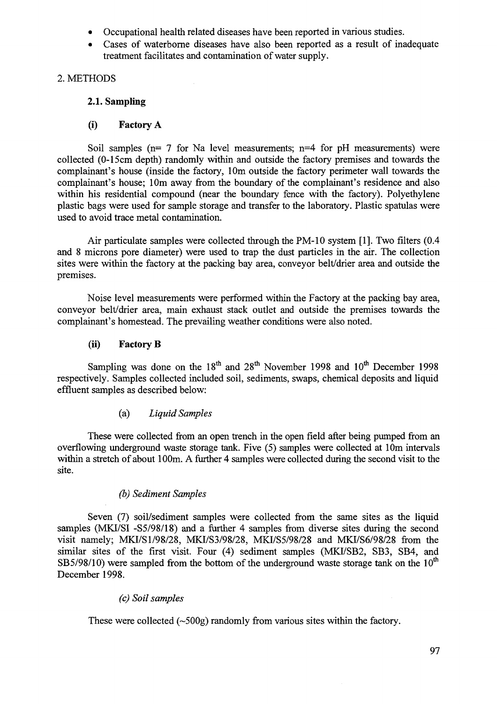- Occupational health related diseases have been reported in various studies.
- Cases of waterborne diseases have also been reported as a result of inadequate treatment facilitates and contamination of water supply.

# 2. METHODS

# **2.1. Sampling**

# **(i) Factory A**

Soil samples ( $n= 7$  for Na level measurements;  $n=4$  for pH measurements) were collected (0-15cm depth) randomly within and outside the factory premises and towards the complainant's house (inside the factory, 10m outside the factory perimeter wall towards the complainant's house; 10m away from the boundary of the complainant's residence and also within his residential compound (near the boundary fence with the factory). Polyethylene plastic bags were used for sample storage and transfer to the laboratory. Plastic spatulas were used to avoid trace metal contamination.

Air particulate samples were collected through the PM-10 system [1]. Two filters (0.4 and 8 microns pore diameter) were used to trap the dust particles in the air. The collection sites were within the factory at the packing bay area, conveyor belt/drier area and outside the premises.

Noise level measurements were performed within the Factory at the packing bay area, conveyor belt/drier area, main exhaust stack outlet and outside the premises towards the complainant's homestead. The prevailing weather conditions were also noted.

# **(ii) Factory B**

Sampling was done on the 18<sup>th</sup> and 28<sup>th</sup> November 1998 and 10<sup>th</sup> December 1998 respectively. Samples collected included soil, sediments, swaps, chemical deposits and liquid effluent samples as described below:

# (a) *Liquid Samples*

These were collected from an open trench in the open field after being pumped from an overflowing underground waste storage tank. Five (5) samples were collected at 10m intervals within a stretch of about 100m. A further 4 samples were collected during the second visit to the site.

# *(b) Sediment Samples*

Seven (7) soil/sediment samples were collected from the same sites as the liquid samples (MKI/SI -S5/98/18) and a further 4 samples from diverse sites during the second visit namely; MKI/S1/98/28, MKI/S3/98/28, MKI/S5/98/28 and MKI/S6/98/28 from the similar sites of the first visit. Four (4) sediment samples (MKI/SB2, SB3, SB4, and SB5/98/10) were sampled from the bottom of the underground waste storage tank on the  $10<sup>th</sup>$ December 1998.

# *(c) Soil samples*

These were collected  $(\sim 500g)$  randomly from various sites within the factory.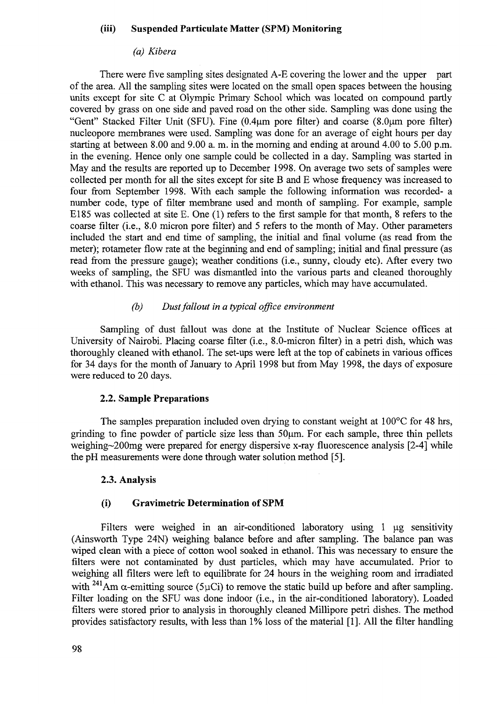#### (iii) Suspended Particulate Matter (SPM) Monitoring

#### *(a) Kibera*

There were five sampling sites designated A-E covering the lower and the upper part of the area. All the sampling sites were located on the small open spaces between the housing units except for site C at Olympic Primary School which was located on compound partly covered by grass on one side and paved road on the other side. Sampling was done using the "Gent" Stacked Filter Unit (SFU). Fine (0.4um pore filter) and coarse (8.0um pore filter) nucleopore membranes were used. Sampling was done for an average of eight hours per day starting at between 8.00 and 9.00 a. m. in the morning and ending at around 4.00 to 5.00 p.m. in the evening. Hence only one sample could be collected in a day. Sampling was started in May and the results are reported up to December 1998. On average two sets of samples were collected per month for all the sites except for site B and E whose frequency was increased to four from September 1998. With each sample the following information was recorded- a number code, type of filter membrane used and month of sampling. For example, sample El85 was collected at site E. One (1) refers to the first sample for that month, 8 refers to the coarse filter (i.e., 8.0 micron pore filter) and 5 refers to the month of May. Other parameters included the start and end time of sampling, the initial and final volume (as read from the meter); rotameter flow rate at the beginning and end of sampling; initial and final pressure (as read from the pressure gauge); weather conditions (i.e., sunny, cloudy etc). After every two weeks of sampling, the SFU was dismantled into the various parts and cleaned thoroughly with ethanol. This was necessary to remove any particles, which may have accumulated.

### *(b) Dust fallout in a typical office environment*

Sampling of dust fallout was done at the Institute of Nuclear Science offices at University of Nairobi. Placing coarse filter (i.e., 8.0-micron filter) in a petri dish, which was thoroughly cleaned with ethanol. The set-ups were left at the top of cabinets in various offices for 34 days for the month of January to April 1998 but from May 1998, the days of exposure were reduced to 20 days.

### **2.2. Sample Preparations**

The samples preparation included oven drying to constant weight at 100<sup>o</sup>C for 48 hrs, grinding to fine powder of particle size less than 50um. For each sample, three thin pellets weighing~200mg were prepared for energy dispersive x-ray fluorescence analysis [2-4] while the pH measurements were done through water solution method [5].

#### **2.3. Analysis**

#### **(i) Gravimetric Determination of SPM**

Filters were weighed in an air-conditioned laboratory using  $1 \mu$ g sensitivity (Ainsworth Type 24N) weighing balance before and after sampling. The balance pan was wiped clean with a piece of cotton wool soaked in ethanol. This was necessary to ensure the filters were not contaminated by dust particles, which may have accumulated. Prior to weighing all filters were left to equilibrate for 24 hours in the weighing room and irradiated with <sup>241</sup>Am  $\alpha$ -emitting source (5µCi) to remove the static build up before and after sampling. Filter loading on the SFU was done indoor (i.e., in the air-conditioned laboratory). Loaded filters were stored prior to analysis in thoroughly cleaned Millipore petri dishes. The method provides satisfactory results, with less than 1% loss of the material [1]. All the filter handling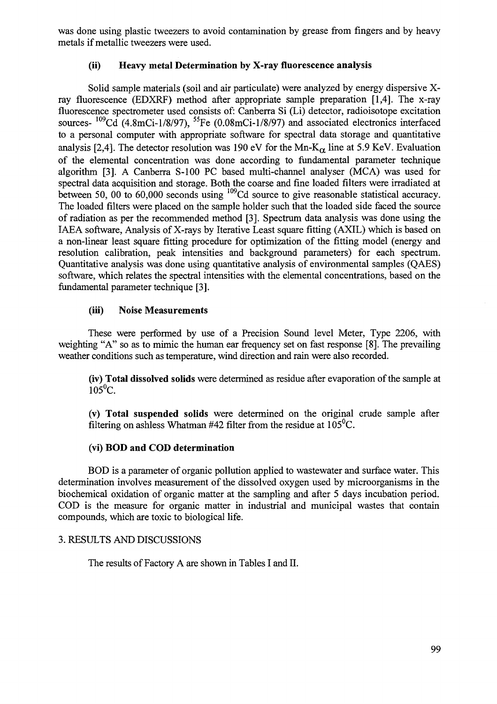was done using plastic tweezers to avoid contamination by grease from fingers and by heavy metals if metallic tweezers were used.

# **(ii) Heavy metal Determination by X-ray fluorescence analysis**

Solid sample materials (soil and air particulate) were analyzed by energy dispersive Xray fluorescence (EDXRF) method after appropriate sample preparation [1,4]. The x-ray fluorescence spectrometer used consists of: Canberra Si (Li) detector, radioisotope excitation sources- <sup>109</sup>Cd (4.8mCi-1/8/97), <sup>55</sup>Fe (0.08mCi-1/8/97) and associated electronics interfaced to a personal computer with appropriate software for spectral data storage and quantitative analysis [2,4]. The detector resolution was 190 eV for the Mn- $K_{\alpha}$  line at 5.9 KeV. Evaluation of the elemental concentration was done according to fundamental parameter technique algorithm [3]. A Canberra S-100 PC based multi-channel analyser (MCA) was used for spectral data acquisition and storage. Both the coarse and fine loaded filters were irradiated at between 50, 00 to 60,000 seconds using <sup>109</sup>Cd source to give reasonable statistical accuracy. The loaded filters were placed on the sample holder such that the loaded side faced the source of radiation as per the recommended method [3]. Spectrum data analysis was done using the IAEA software, Analysis of X-rays by Iterative Least square fitting (AXIL) which is based on a non-linear least square fitting procedure for optimization of the fitting model (energy and resolution calibration, peak intensities and background parameters) for each spectrum. Quantitative analysis was done using quantitative analysis of environmental samples (QAES) software, which relates the spectral intensities with the elemental concentrations, based on the fundamental parameter technique [3].

## **(iii) Noise Measurements**

These were performed by use of a Precision Sound level Meter, Type 2206, with weighting "A" so as to mimic the human ear frequency set on fast response [8], The prevailing weather conditions such as temperature, wind direction and rain were also recorded.

**(iv) Total dissolved solids** were determined as residue after evaporation of the sample at  $105^{\circ}$ C.

**(v) Total suspended solids** were determined on the original crude sample after filtering on ashless Whatman #42 filter from the residue at  $105^{\circ}$ C.

### **(vi) BOD and COD determination**

BOD is a parameter of organic pollution applied to wastewater and surface water. This determination involves measurement of the dissolved oxygen used by microorganisms in the biochemical oxidation of organic matter at the sampling and after 5 days incubation period. COD is the measure for organic matter in industrial and municipal wastes that contain compounds, which are toxic to biological life.

### 3. RESULTS AND DISCUSSIONS

The results of Factory A are shown in Tables I and II.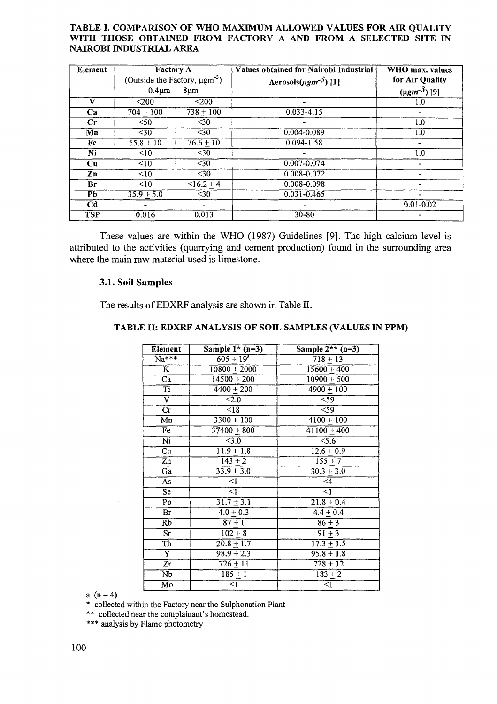#### TABLE I. COMPARISON OF WHO MAXIMUM ALLOWED VALUES FOR AIR QUALITY WITH THOSE OBTAINED FROM FACTORY A AND FROM A SELECTED SITE IN NAIROBI INDUSTRIAL AREA

| Element        | <b>Factory A</b><br>(Outside the Factory, $\mu$ gm <sup>-3</sup> )<br>$0.4 \mu m$<br>$8 \mu m$ |                 | <b>Values obtained for Nairobi Industrial</b><br>Aerosols( $\mu$ gm <sup>-3</sup> ) [1] | WHO max. values<br>for Air Quality<br>$(\mu g m^{-3})$ [9] |
|----------------|------------------------------------------------------------------------------------------------|-----------------|-----------------------------------------------------------------------------------------|------------------------------------------------------------|
| v              | $200$                                                                                          | $200$           |                                                                                         | 1.0                                                        |
| Ca             | $704 + 100$                                                                                    | $738 + 100$     | $0.033 - 4.15$                                                                          |                                                            |
| $\mathbf{C}$ r | $\overline{50}$                                                                                | $\overline{30}$ | ۰                                                                                       | 1.0                                                        |
| Mn             | $30$                                                                                           | $\overline{30}$ | 0.004-0.089                                                                             | 1.0                                                        |
| Fe             | $55.8 + 10$                                                                                    | $76.6 + 10$     | $0.094 - 1.58$                                                                          | $\qquad \qquad \blacksquare$                               |
| Ni             | $\overline{10}$                                                                                | $30$            |                                                                                         | 1.0                                                        |
| Cu             | $\leq 10$                                                                                      | $\overline{30}$ | $0.007 - 0.074$                                                                         | $\blacksquare$                                             |
| Zn             | $\overline{<}10$                                                                               | $30$            | 0.008-0.072                                                                             |                                                            |
| Br             | <10                                                                                            | $<16.2 + 4$     | 0.008-0.098                                                                             |                                                            |
| <b>Pb</b>      | $35.9 + 5.0$                                                                                   | $\overline{30}$ | $0.031 - 0.465$                                                                         | Ξ.                                                         |
| C <sub>d</sub> |                                                                                                |                 |                                                                                         | $0.01 - 0.02$                                              |
| <b>TSP</b>     | 0.016                                                                                          | 0.013           | $30 - 80$                                                                               |                                                            |

These values are within the WHO (1987) Guidelines [9]. The high calcium level is attributed to the activities (quarrying and cement production) found in the surrounding area where the main raw material used is limestone.

### **3.1. Soil Samples**

The results of EDXRF analysis are shown in Table **II.**

| Element                  | Sample $1*(n=3)$                   | Sample $2^{**}$ (n=3)    |
|--------------------------|------------------------------------|--------------------------|
| $\overline{Na^{***}}$    | $605 + 19^{4}$                     | $718 + 13$               |
| $\overline{\mathbf{K}}$  | $10800 + 2000$                     | $15600 + 400$            |
| $\overline{\text{Ca}}$   | $\frac{14500 + 200}{ }$            | $10900 + 500$            |
| Ti                       | $\frac{1}{4400} + 200$             | $4900 + 100$             |
| $\overline{\mathrm{v}}$  | $\overline{<}2.0$                  | $\overline{59}$          |
| $\overline{\text{Cr}}$   | $\overline{<}18$                   | $\overline{59}$          |
| $\overline{\mathrm{Mn}}$ | $\frac{1}{3300} + 100$             | $\frac{4100+100}{ }$     |
| $\overline{\mathrm{Fe}}$ | $37400 + 800$                      | $\overline{41100} + 400$ |
| $\overline{\text{Ni}}$   | $\overline{<}3.0$                  | 5.6                      |
| $\overline{\mathrm{Cu}}$ | $\overline{11.9} + \overline{1.8}$ | $12.6 + 0.9$             |
| $\overline{z}$ n         | $\frac{143 + 2}{2}$                | $155 + 7$                |
| $\overline{Ga}$          | $33.9 + 3.0$                       | $30.3 + 3.0$             |
| $\overline{As}$          | $\overline{\triangleleft}$         | $\overline{4}$           |
| $\overline{\text{Se}}$   | ব                                  | ⋜⊺                       |
| $\overline{\text{Pb}}$   | $31.7 + 3.1$                       | $21.8 + 0.4$             |
| $\overline{\text{Br}}$   | $4.0 + 0.3$                        | $4.4 + 0.4$              |
| $\overline{\text{Rb}}$   | $87 + 1$                           | $86 + 3$                 |
| $\overline{\text{Sr}}$   | $102 + 8$                          | $91 + 3$                 |
| $\overline{Th}$          | $20.8 + 1.7$                       | $17.3 + 1.5$             |
| Ŷ                        | $98.9 + 2.3$                       | $95.8 + 1.8$             |
| $\overline{Zr}$          | $726 + 11$                         | $728 + 12$               |
| $\overline{\text{Nb}}$   | $185 + 1$                          | $183 + 2$                |
| Мo                       | $\overline{1}$                     | $\overline{<}1$          |

### **TABLE II: EDXRF ANALYSIS OF SOIL SAMPLES (VALUES IN PPM)**

a  $(n = 4)$ 

\* collected within the Factory near the Sulphonation Plant

\*\* collected near the complainant's homestead.

\*\*\* analysis by Flame photometry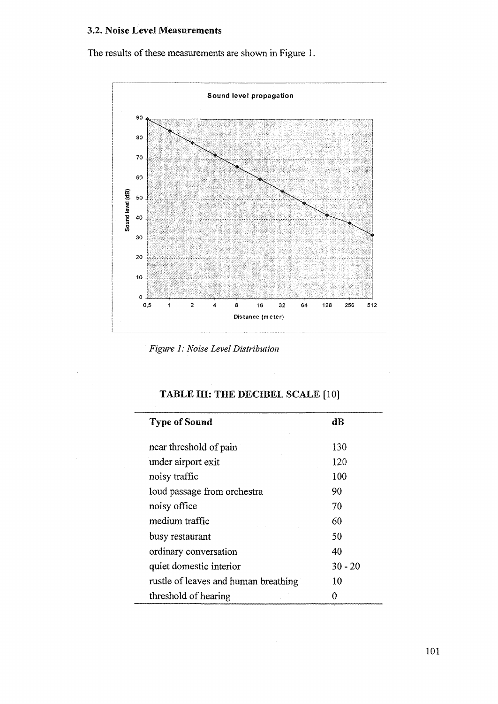### 3.2. Noise Level Measurements

The results of these measurements are shown in Figure 1.



*Figure 1: Noise Level Distribution*

# TABLE III: THE DECIBEL SCALE [10]

| <b>Type of Sound</b>                 | dB        |
|--------------------------------------|-----------|
|                                      |           |
| near threshold of pain               | 130       |
| under airport exit                   | 120       |
| noisy traffic                        | 100       |
| loud passage from orchestra          | 90        |
| noisy office                         | 70        |
| medium traffic                       | 60        |
| busy restaurant                      | 50        |
| ordinary conversation                | 40        |
| quiet domestic interior              | $30 - 20$ |
| rustle of leaves and human breathing | 10        |
| threshold of hearing                 |           |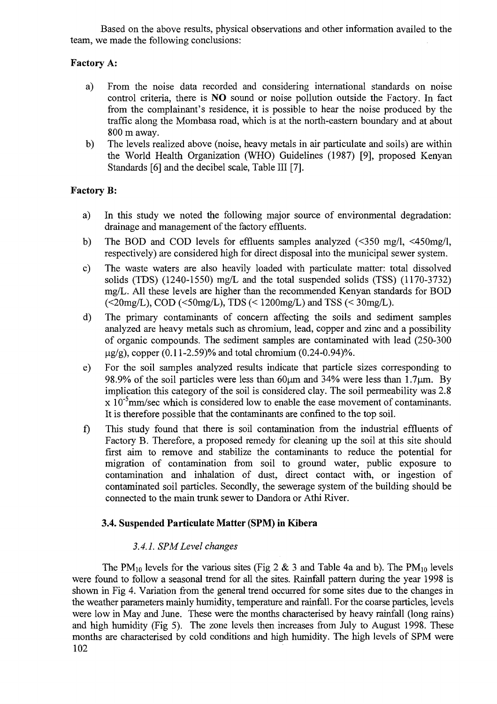Based on the above results, physical observations and other information availed to the team, we made the following conclusions:

# **Factory** A:

- a) From the noise data recorded and considering international standards on noise control criteria, there is NO sound or noise pollution outside the Factory. In fact from the complainant's residence, it is possible to hear the noise produced by the traffic along the Mombasa road, which is at the north-eastern boundary and at about 800 m away.
- b) The levels realized above (noise, heavy metals in air particulate and soils) are within the World Health Organization (WHO) Guidelines (1987) [9], proposed Kenyan Standards [6] and the decibel scale, Table III [7].

# **Factory B:**

- a) In this study we noted the following major source of environmental degradation: drainage and management of the factory effluents.
- b) The BOD and COD levels for effluents samples analyzed (<350 mg/1, <450mg/l, respectively) are considered high for direct disposal into the municipal sewer system.
- c) The waste waters are also heavily loaded with particulate matter: total dissolved solids (TDS) (1240-1550) mg/L and the total suspended solids (TSS) (1170-3732) mg/L. All these levels are higher than the recommended Kenyan standards for BOD  $\langle \langle 20 \text{mg/L}} \rangle$ , COD  $\langle \langle 50 \text{mg/L}} \rangle$ , TDS  $\langle \langle 1200 \text{mg/L}} \rangle$  and TSS  $\langle \langle 30 \text{mg/L}} \rangle$ .
- d) The primary contaminants of concern affecting the soils and sediment samples analyzed are heavy metals such as chromium, lead, copper and zinc and a possibility of organic compounds. The sediment samples are contaminated with lead (250-300  $\mu$ g/g), copper (0.11-2.59)% and total chromium (0.24-0.94)%.
- e) For the soil samples analyzed results indicate that particle sizes corresponding to 98.9% of the soil particles were less than  $60\mu$ m and 34% were less than 1.7 $\mu$ m. By implication this category of the soil is considered clay. The soil permeability was 2.8  $x$  10<sup>-3</sup>mm/sec which is considered low to enable the ease movement of contaminants. It is therefore possible that the contaminants are confined to the top soil.
- f) This study found that there is soil contamination from the industrial effluents of Factory B. Therefore, a proposed remedy for cleaning up the soil at this site should first aim to remove and stabilize the contaminants to reduce the potential for migration of contamination from soil to ground water, public exposure to contamination and inhalation of dust, direct contact with, or ingestion of contaminated soil particles. Secondly, the sewerage system of the building should be connected to the main trunk sewer to Dandora or Athi River.

# **3.4. Suspended Particulate Matter (SPM) in Kibera**

# *3.4.1. SPM Level changes*

The PM<sub>10</sub> levels for the various sites (Fig 2 & 3 and Table 4a and b). The PM<sub>10</sub> levels were found to follow a seasonal trend for all the sites. Rainfall pattern during the year 1998 is shown in Fig 4. Variation from the general trend occurred for some sites due to the changes in the weather parameters mainly humidity, temperature and rainfall. For the coarse particles, levels were low in May and June. These were the months characterised by heavy rainfall (long rains) and high humidity (Fig 5). The zone levels then increases from July to August 1998. These months are characterised by cold conditions and high humidity. The high levels of SPM were 102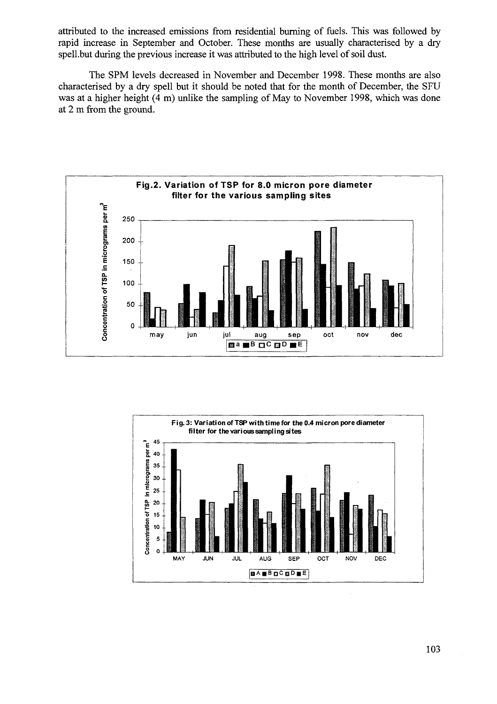attributed to the increased emissions from residential burning of fuels. This was followed by rapid increase in September and October. These months are usually characterised by a dry spell .but during the previous increase it was attributed to the high level of soil dust.

The SPM levels decreased in November and December 1998. These months are also characterised by a dry spell but it should be noted that for the month of December, the SFU was at a higher height (4 m) unlike the sampling of May to November 1998, which was done at 2 m from the ground.



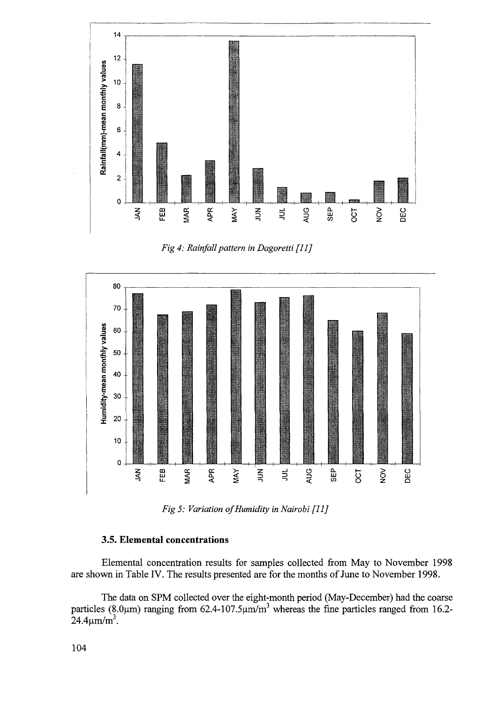

/g </: *Rainfall pattern in Dagoretti [11]*



*Fig 5: Variation of Humidity in Nairobi [11]*

## **3.5. Elemental concentrations**

Elemental concentration results for samples collected from May to November 1998 are shown in Table IV. The results presented are for the months of June to November 1998.

The data on SPM collected over the eight-month period (May-December) had the coarse particles (8.0 $\mu$ m) ranging from 62.4-107.5 $\mu$ m/m<sup>3</sup> whereas the fine particles ranged from 16.2- $24.4 \mu \text{m/m}^3$ .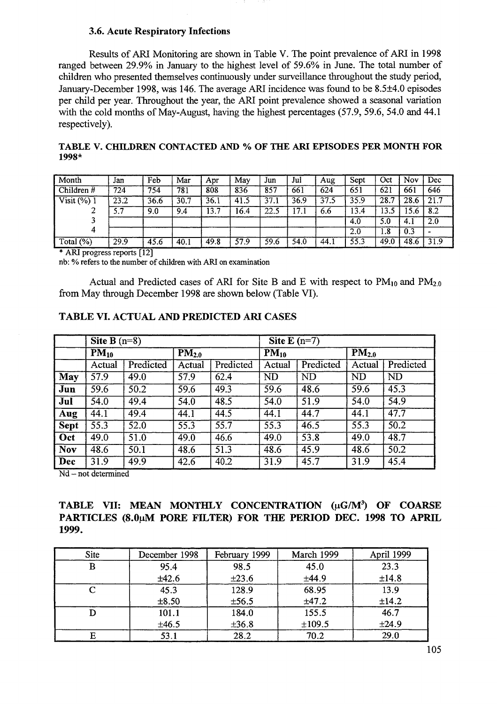## **3.6. Acute Respiratory Infections**

Results of ARI Monitoring are shown in Table V. The point prevalence of ARI in 1998 ranged between 29.9% in January to the highest level of 59.6% in June. The total number of children who presented themselves continuously under surveillance throughout the study period, January-December 1998, was 146. The average ARI incidence was found to be 8.5±4.0 episodes per child per year. Throughout the year, the ARI point prevalence showed a seasonal variation with the cold months of May-August, having the highest percentages (57.9, 59.6, 54.0 and 44.1 respectively).

|         | TABLE V. CHILDREN CONTACTED AND % OF THE ARI EPISODES PER MONTH FOR |  |  |  |  |
|---------|---------------------------------------------------------------------|--|--|--|--|
| $1998*$ |                                                                     |  |  |  |  |

| Month                   | Jan  | Feb  | Mar  | Apr  | May  | Jun  | Jul  | Aug  | Sept | Oct  | Nov  | Dec  |
|-------------------------|------|------|------|------|------|------|------|------|------|------|------|------|
| Children $#$            | 724  | 754  | 781  | 808  | 836  | 857  | 661  | 624  | 651  | 621  | 661  | 646  |
| Visit $(\frac{6}{6})$ 1 | 23.2 | 36.6 | 30.7 | 36.1 | 41.5 | 37.1 | 36.9 | 37.5 | 35.9 | 28.7 | 28.6 | 21.7 |
| ▵                       | 5.7  | 9.0  | 9.4  | 13.7 | 16.4 | 22.5 | 17.1 | 6.6  | 13.4 | 13.5 | 15.6 | 8.2  |
|                         |      |      |      |      |      |      |      |      | 4.0  | 5.0  | 4.1  | 2.0  |
| 4                       |      |      |      |      |      |      |      |      | 2.0  | 1.8  | 0.3  |      |
| Total $(\%)$            | 29.9 | 45.6 | 40.1 | 49.8 | 57.9 | 59.6 | 54.0 | 44.1 | 55.3 | 49.0 | 48.6 | 31.9 |

\* ARI progress reports [12]

nb: % refers to the number of children with ARI on examination

Actual and Predicted cases of ARI for Site B and E with respect to  $PM_{10}$  and  $PM_{2.0}$ from May through December 1998 are shown below (Table VI).

### **TABLE VI. ACTUAL AND PREDICTED ARI CASES**

|             | Site $\overline{B(n=8)}$ |                   |                       |           | Site $E(n=7)$        |                   |                       |                   |  |
|-------------|--------------------------|-------------------|-----------------------|-----------|----------------------|-------------------|-----------------------|-------------------|--|
|             | $PM_{10}$                |                   | $\overline{PM_{2.0}}$ |           | $\overline{PM}_{10}$ |                   | $\overline{PM}_{2.0}$ |                   |  |
|             | Actual                   | Predicted         | Actual                | Predicted | Actual               | Predicted         | Actual                | Predicted         |  |
| May         | $\overline{57.9}$        | 49.0              | 57.9                  | 62.4      | <b>ND</b>            | <b>ND</b>         | ND                    | <b>ND</b>         |  |
| Jun         | 59.6                     | 50.2              | 59.6                  | 49.3      | 59.6                 | 48.6              | 59.6                  | 45.3              |  |
| Jul         | 54.0                     | 49.4              | 54.0                  | 48.5      | 54.0                 | $\overline{51.9}$ | 54.0                  | $\overline{54.9}$ |  |
| Aug         | 44.1                     | 49.4              | 44.1                  | 44.5      | 44.1                 | 44.7              | 44.1                  | 47.7              |  |
| <b>Sept</b> | $\overline{55.3}$        | 52.0              | $\overline{55.3}$     | 55.7      | 55.3                 | 46.5              | 55.3                  | $\overline{50.2}$ |  |
| Oct         | 49.0                     | 51.0              | 49.0                  | 46.6      | 49.0                 | 53.8              | $\overline{49.0}$     | 48.7              |  |
| <b>Nov</b>  | 48.6                     | 50.1              | 48.6                  | 51.3      | 48.6                 | 45.9              | 48.6                  | $\overline{50.2}$ |  |
| Dec         | 31.9                     | $\overline{49.9}$ | 42.6                  | 40.2      | 31.9                 | 45.7              | 31.9                  | 45.4              |  |

Nd - not determined

# **TABLE VII: MEAN MONTHLY CONCENTRATION** *([iG/M<sup>3</sup> )* **OF COARSE PARTICLES (8.0uM PORE FILTER) FOR THE PERIOD DEC. 1998 TO APRIL 1999.**

| <b>Site</b> | December 1998 | February 1999 | March 1999 | April 1999 |
|-------------|---------------|---------------|------------|------------|
| B           | 95.4          | 98.5          | 45.0       | 23.3       |
|             | ±42.6         | $\pm 23.6$    | ±44.9      | ±14.8      |
| ⌒           | 45.3          | 128.9         | 68.95      | 13.9       |
|             | ±8.50         | ±56.5         | ±47.2      | ±14.2      |
|             | 101.1         | 184.0         | 155.5      | 46.7       |
|             | ±46.5         | $\pm 36.8$    | ±109.5     | ±24.9      |
| E           | 53.1          | 28.2          | 70.2       | 29.0       |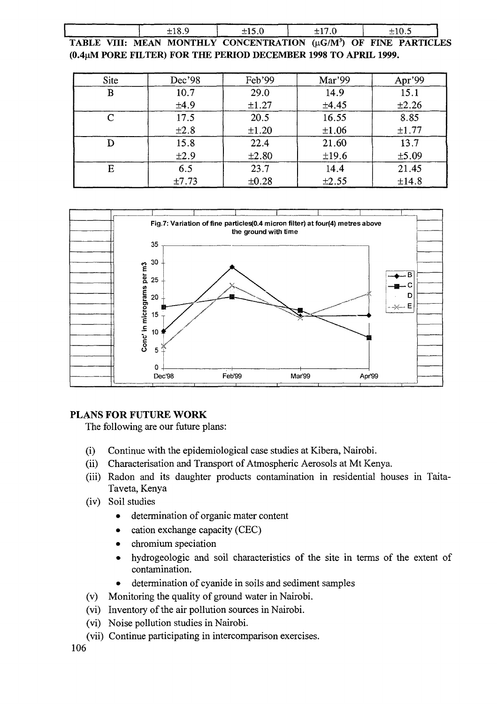|  | ±18.9 | ±15.0                                                                         | $+17.0$ |  | ±10.5 |  |
|--|-------|-------------------------------------------------------------------------------|---------|--|-------|--|
|  |       | TABLE VIII: MEAN MONTHLY CONCENTRATION (µG/M <sup>3</sup> ) OF FINE PARTICLES |         |  |       |  |

**(0.4uM PORE FILTER) FOR THE PERIOD DECEMBER 1998 TO APRIL 1999.**

| Site | Dec'98 | Feb'99     | Mar'99     | Apr'99     |
|------|--------|------------|------------|------------|
| B    | 10.7   | 29.0       | 14.9       | 15.1       |
|      | ±4.9   | $\pm 1.27$ | ±4.45      | $\pm 2.26$ |
|      | 17.5   | 20.5       | 16.55      | 8.85       |
|      | ±2.8   | $\pm 1.20$ | $\pm 1.06$ | ±1.77      |
|      | 15.8   | 22.4       | 21.60      | 13.7       |
|      | ±2.9   | ±2.80      | ±19.6      | ±5.09      |
| E    | 6.5    | 23.7       | 14.4       | 21.45      |
|      | ±7.73  | $\pm 0.28$ | $\pm 2.55$ | ±14.8      |



# **PLANS FOR FUTURE WORK**

The following are our future plans:

- (i) Continue with the epidemiological case studies at Kibera, Nairobi.
- (ii) Characterisation and Transport of Atmospheric Aerosols at Mt Kenya.
- (iii) Radon and its daughter products contamination in residential houses in Taita-Taveta, Kenya
- (iv) Soil studies
	- determination of organic mater content
	- cation exchange capacity (CEC)
	- chromium speciation
	- hydrogeologic and soil characteristics of the site in terms of the extent of contamination.
	- determination of cyanide in soils and sediment samples
- (v) Monitoring the quality of ground water in Nairobi.
- (vi) Inventory of the air pollution sources in Nairobi,
- (vi) Noise pollution studies in Nairobi.
- (vii) Continue participating in intercomparison exercises.

106